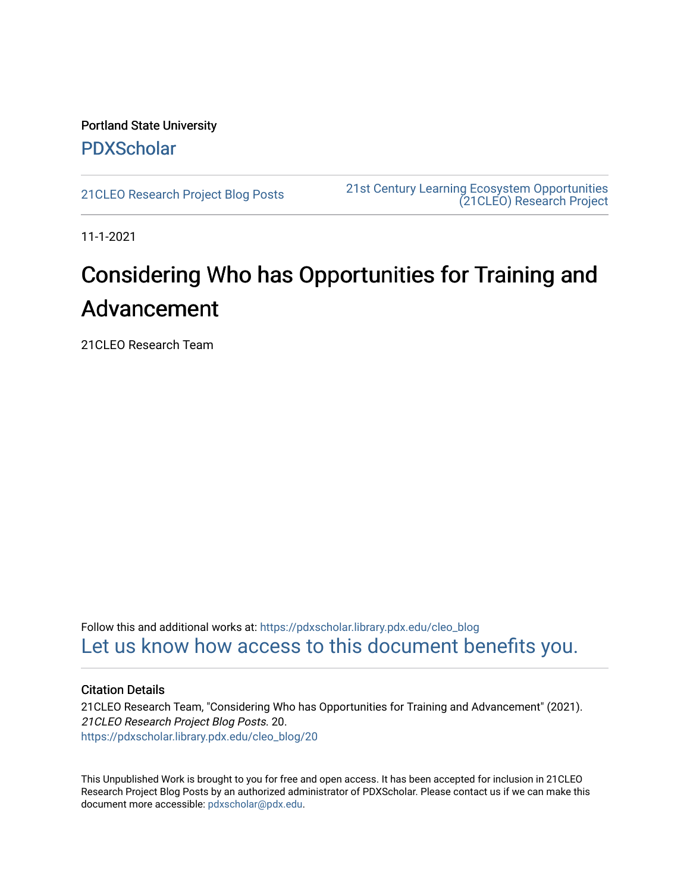Portland State University [PDXScholar](https://pdxscholar.library.pdx.edu/)

[21CLEO Research Project Blog Posts](https://pdxscholar.library.pdx.edu/cleo_blog) [21st Century Learning Ecosystem Opportunities](https://pdxscholar.library.pdx.edu/cleo)  [\(21CLEO\) Research Project](https://pdxscholar.library.pdx.edu/cleo) 

11-1-2021

# Considering Who has Opportunities for Training and Advancement

21CLEO Research Team

Follow this and additional works at: [https://pdxscholar.library.pdx.edu/cleo\\_blog](https://pdxscholar.library.pdx.edu/cleo_blog?utm_source=pdxscholar.library.pdx.edu%2Fcleo_blog%2F20&utm_medium=PDF&utm_campaign=PDFCoverPages)  [Let us know how access to this document benefits you.](http://library.pdx.edu/services/pdxscholar-services/pdxscholar-feedback/?ref=https://pdxscholar.library.pdx.edu/cleo_blog/20) 

#### Citation Details

21CLEO Research Team, "Considering Who has Opportunities for Training and Advancement" (2021). 21CLEO Research Project Blog Posts. 20. [https://pdxscholar.library.pdx.edu/cleo\\_blog/20](https://pdxscholar.library.pdx.edu/cleo_blog/20?utm_source=pdxscholar.library.pdx.edu%2Fcleo_blog%2F20&utm_medium=PDF&utm_campaign=PDFCoverPages)

This Unpublished Work is brought to you for free and open access. It has been accepted for inclusion in 21CLEO Research Project Blog Posts by an authorized administrator of PDXScholar. Please contact us if we can make this document more accessible: [pdxscholar@pdx.edu.](mailto:pdxscholar@pdx.edu)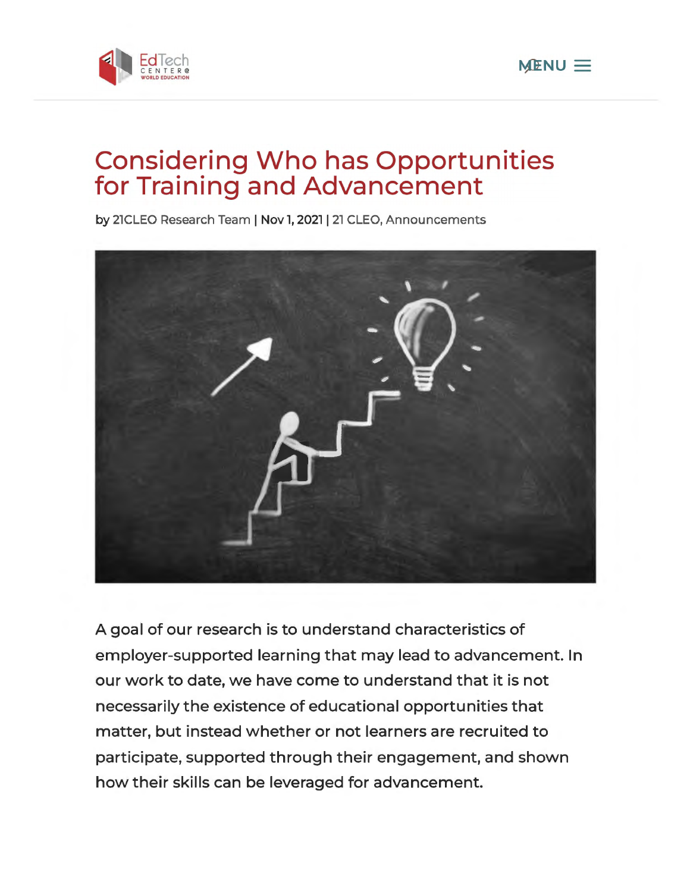



# **Considering Who has Opportunities for Training and Advancement**

by 21CLEO Research Team | Nov 1, 2021 | 21 CLEO, Announcements



A goal of our research is to understand characteristics of employer-supported learning that may lead to advancement. In our work to date, we have come to understand that it is not necessarily the existence of educational opportunities that matter, but instead whether or not learners are recruited to participate, supported through their engagement, and shown how their skills can be leveraged for advancement.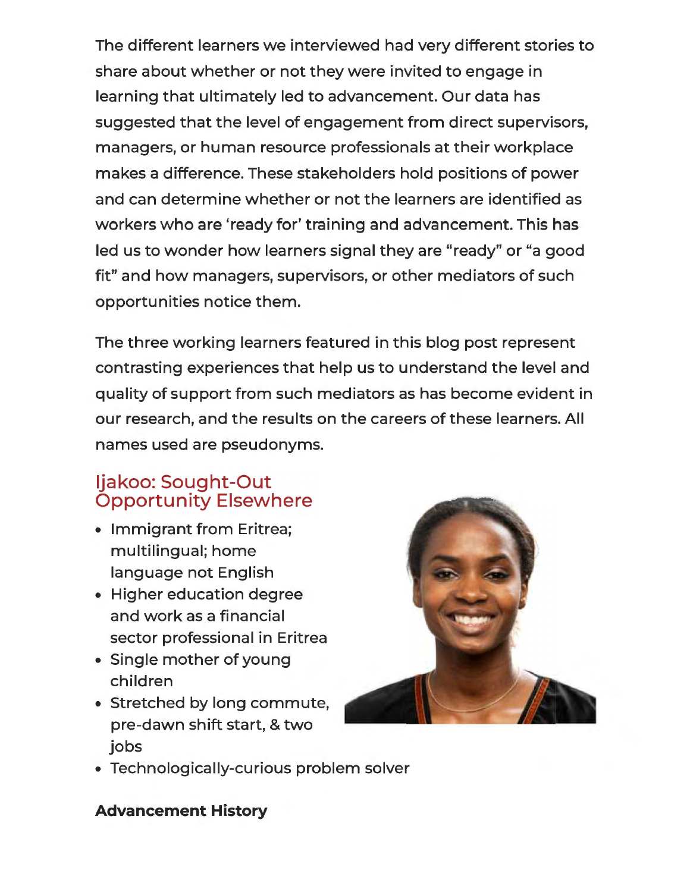The different learners we interviewed had very different stories to share about whether or not they were invited to engage in learning that ultimately led to advancement. Our data has suggested that the level of engagement from direct supervisors, managers, or human resource professionals at their workplace makes a difference. These stakeholders hold positions of power and can determine whether or not the learners are identified as workers who are 'ready for' training and advancement. This has led us to wonder how learners signal they are "ready" or "a good fit" and how managers, supervisors, or other mediators of such opportunities notice them.

The three working learners featured in this blog post represent contrasting experiences that help us to understand the level and quality of support from such mediators as has become evident in our research, and the results on the careers of these learners. All names used are pseudonyms.

# ljakoo: Sought-Out Opportunity Elsewhere

- Immigrant from Eritrea; multilingual; home language not English
- Higher education degree and work as a financial sector professional in Eritrea
- Single mother of young children
- Stretched by long commute, pre-dawn shift start, & two jobs



• Technologically-curious problem solver

#### **Advancement History**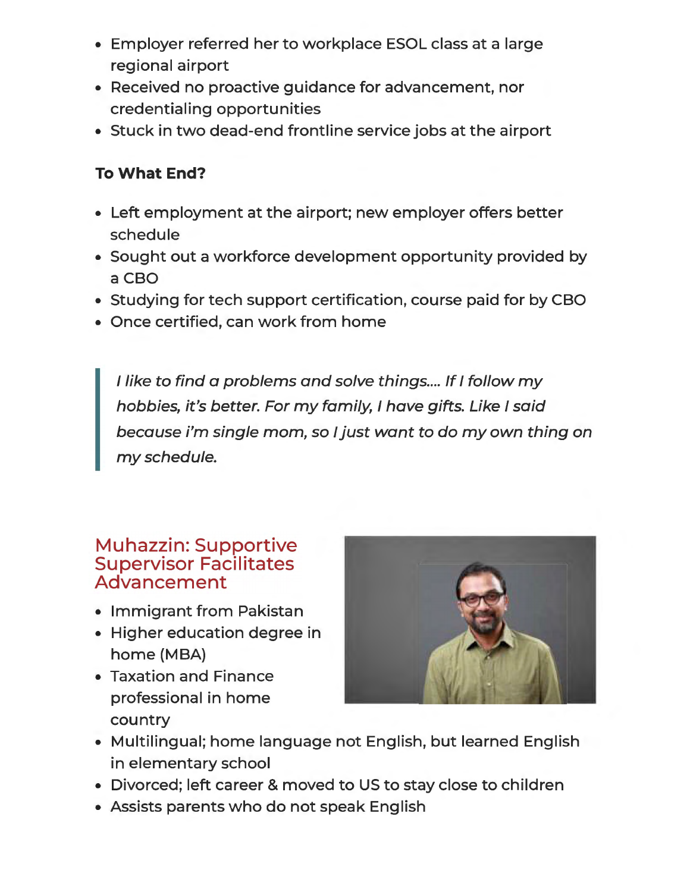- Employer referred her to workplace ESOL class at a large regional airport
- Received no proactive guidance for advancement, nor credentialing opportunities
- Stuck in two dead-end frontline service jobs at the airport

#### **To What End?**

- Left employment at the airport; new employer offers better schedule
- Sought out a workforce development opportunity provided by aCBO
- Studying for tech support certification, course paid for by CBO
- Once certified, can work from home

I like to find a problems and solve things.... If I follow my hobbies, it's better. For my family, I have gifts. Like I said because i'm single mom, so I just want to do my own thing on my schedule.

#### Muhazzin: Supportive Supervisor Facilitates Advancement

- Immigrant from Pakistan
- Higher education degree in home (MBA)
- Taxation and Finance professional in home country



- Multilingual; home language not English, but learned English in elementary school
- Divorced; left career & moved to US to stay close to children
- Assists parents who do not speak English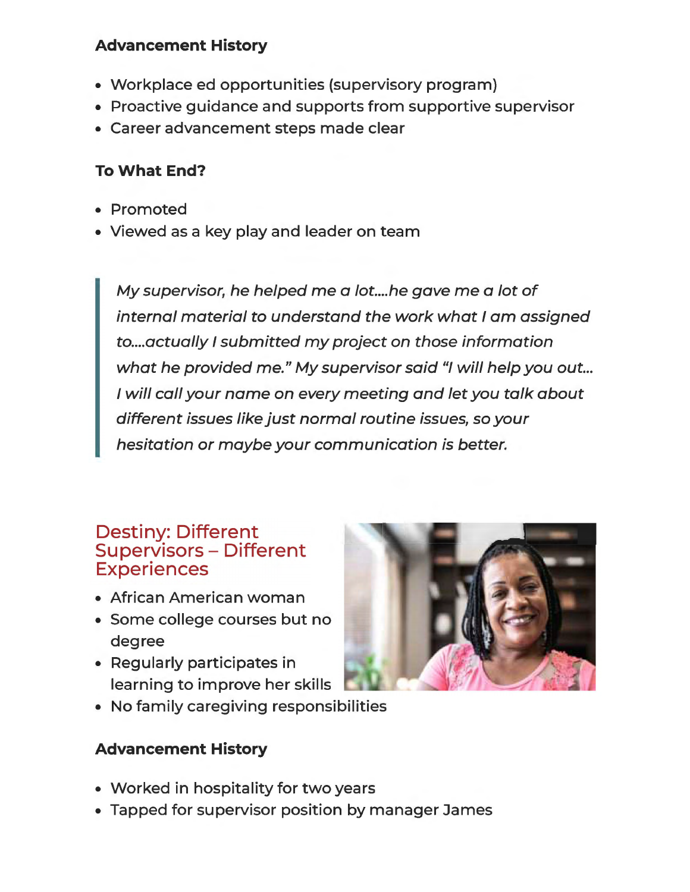#### **Advancement History**

- Workplace ed opportunities (supervisory program)
- Proactive guidance and supports from supportive supervisor
- Career advancement steps made clear

## **To What End?**

- Promoted
- Viewed as a key play and leader on team

My supervisor, he helped me a lot.... he gave me a lot of internal material to understand the work what I am assigned to .... actually I submitted my project on those information what he provided me." My supervisor said "I will help you out... I will call your name on every meeting and let you talk about different issues like just normal routine issues, so your hesitation or maybe your communication is better.

#### Destiny: Different Supervisors - Different **Experiences**

- African American woman
- Some college courses but no degree
- Regularly participates in learning to improve her skills
- No family caregiving responsibilities

# **Advancement History**

- Worked in hospitality for two years
- Tapped for supervisor position by manager James

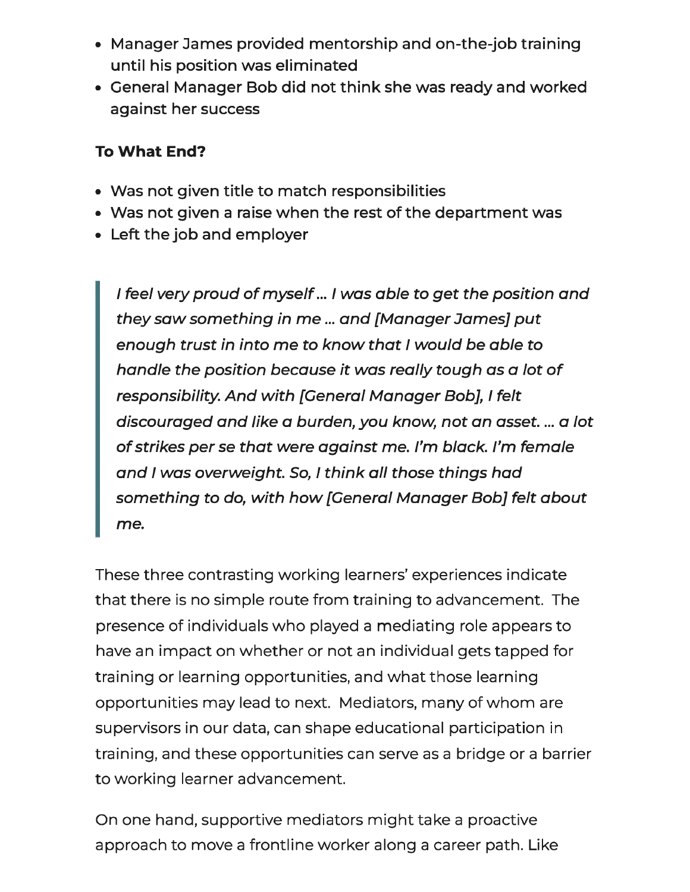- Manager James provided mentorship and on-the-job training until his position was eliminated
- General Manager Bob did not think she was ready and worked against her success

#### **To What End?**

- Was not given title to match responsibilities
- Was not given a raise when the rest of the department was
- Left the job and employer

I **feel very proud of myself ...** I **was able to get the position and they saw something in me** ... **and [Manager James] put enough trust in into me to know that** I **would be able to handle the position because it was really tough as a lot of responsibility. And with [General Manager Bob],** I **felt discouraged and like a burden, you know, not an asset .** ... **a lot of strikes per se that were against me. I'm black. I'm female and** I **was overweight. So,** I **think all those things had something to do, with how [General Manager Bob] felt about me.** 

These three contrasting working learners' experiences indicate that there is no simple route from training to advancement. The presence of individuals who played a mediating role appears to have an impact on whether or not an individual gets tapped for training or learning opportunities, and what those learning opportunities may lead to next. Mediators, many of whom are supervisors in our data, can shape educational participation in training, and these opportunities can serve as a bridge or a barrier to working learner advancement.

On one hand, supportive mediators might take a proactive approach to move a frontline worker along a career path. Like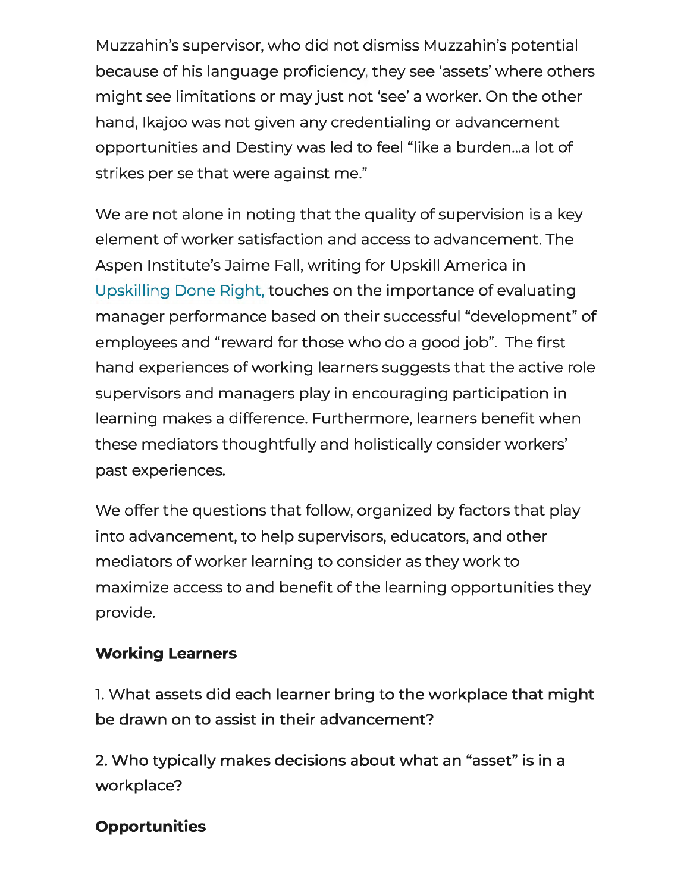Muzzahin's supervisor, who did not dismiss Muzzahin's potential because of his language proficiency, they see 'assets' where others might see limitations or may just not 'see' a worker. On the other hand, lkajoo was not given any credentialing or advancement opportunities and Destiny was led to feel "like a burden...a lot of strikes per se that were against me."

We are not alone in noting that the quality of supervision is a key element of worker satisfaction and access to advancement. The Aspen lnstitute's Jaime Fall, writing for Upskill America in Upskilling Done Right, touches on the importance of evaluating manager performance based on their successful "development" of employees and "reward for those who do a good job". The first hand experiences of working learners suggests that the active role supervisors and managers play in encouraging participation in learning makes a difference. Furthermore, learners benefit when these mediators thoughtfully and holistically consider workers' past experiences.

We offer the questions that follow, organized by factors that play into advancement, to help supervisors, educators, and other mediators of worker learning to consider as they work to maximize access to and benefit of the learning opportunities they provide.

#### **Working Learners**

l. What assets did each learner bring to the workplace that might be drawn on to assist in their advancement?

2. Who typically makes decisions about what an "asset" is in a workplace?

## **Opportunities**